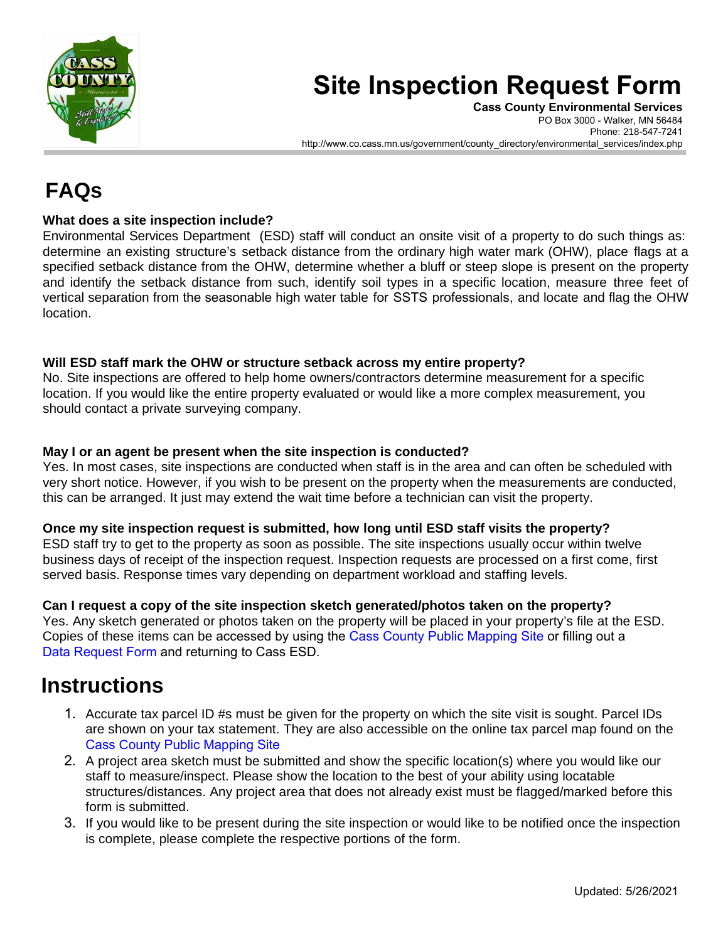

# **Site Inspection Request Form**

**Cass County Environmental Services** PO Box 3000 - Walker, MN 56484 Phone: 218-547-7241 http://www.co.cass.mn.us/government/county\_directory/environmental\_services/index.php

## **FAQs**

#### **What does a site inspection include?**

Environmental Services Department (ESD) staff will conduct an onsite visit of a property to do such things as: determine an existing structure's setback distance from the ordinary high water mark (OHW), place flags at a specified setback distance from the OHW, determine whether a bluff or steep slope is present on the property and identify the setback distance from such, identify soil types in a specific location, measure three feet of vertical separation from the seasonable high water table for SSTS professionals, and locate and flag the OHW location.

#### **Will ESD staff mark the OHW or structure setback across my entire property?**

No. Site inspections are offered to help home owners/contractors determine measurement for a specific location. If you would like the entire property evaluated or would like a more complex measurement, you should contact a private surveying company.

#### **May I or an agent be present when the site inspection is conducted?**

Yes. In most cases, site inspections are conducted when staff is in the area and can often be scheduled with very short notice. However, if you wish to be present on the property when the measurements are conducted, this can be arranged. It just may extend the wait time before a technician can visit the property.

#### **Once my site inspection request is submitted, how long until ESD staff visits the property?**

ESD staff try to get to the property as soon as possible. The site inspections usually occur within twelve business days of receipt of the inspection request. Inspection requests are processed on a first come, first served basis. Response times vary depending on department workload and staffing levels.

#### **Can I request a copy of the site inspection sketch generated/photos taken on the property?**

Yes. Any sketch generated or photos taken on the property will be placed in your property's file at the ESD. Copies of these items can be accessed by using the [Cass County Public Mapping Site](http://cms4.revize.com/revize/casscounty/services/land/maps/index.php) or filling out a [Data Request Form](http://cms4.revize.com/revize/casscounty/document_center/commissioners/data_request_form_public.pdf) and returning to Cass ESD.

### **Instructions**

- 1. Accurate tax parcel ID #s must be given for the property on which the site visit is sought. Parcel IDs are shown on your tax statement. They are also accessible on the online tax parcel map found on the Cass County [Public Mapping Site](http://www.co.cass.mn.us/services/land/maps/index.php)
- 2. A project area sketch must be submitted and show the specific location(s) where you would like our staff to measure/inspect. Please show the location to the best of your ability using locatable structures/distances. Any project area that does not already exist must be flagged/marked before this form is submitted.
- 3. If you would like to be present during the site inspection or would like to be notified once the inspection is complete, please complete the respective portions of the form.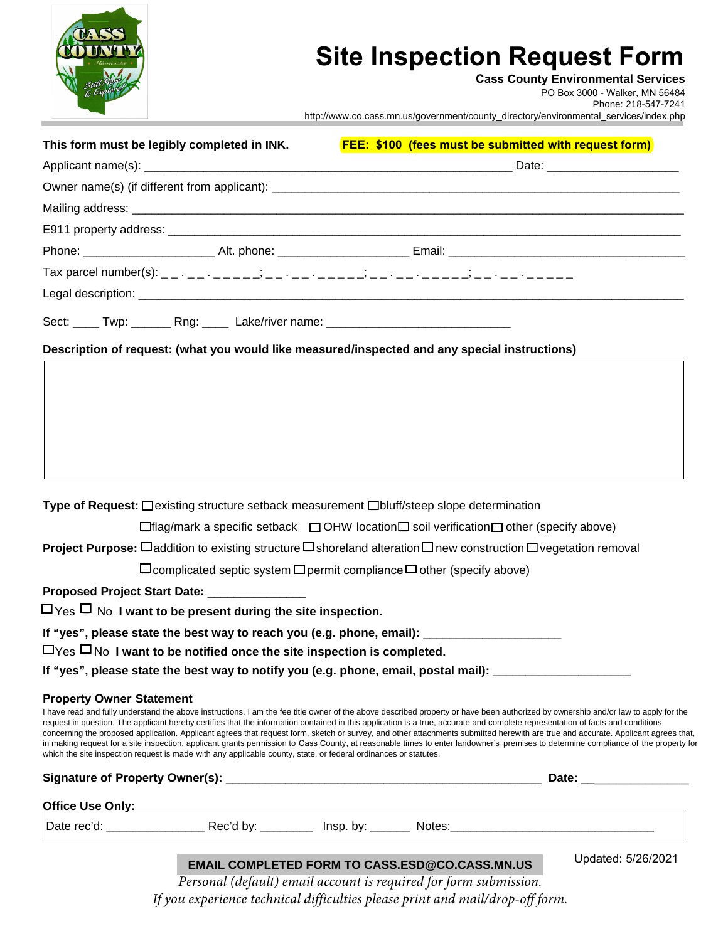

## **Site Inspection Request Form**

**Cass County Environmental Services**

PO Box 3000 - Walker, MN 56484

Phone: 218-547-7241

http://www.co.cass.mn.us/government/county\_directory/environmental\_services/index.php

| This form must be legibly completed in INK.                                                                                                                                                                                                                                                                                                                                                                                                                                                                                                                                                                                                                                                                                                                                                                                                                                                           | <b>FEE: \$100 (fees must be submitted with request form)</b>                                                  |
|-------------------------------------------------------------------------------------------------------------------------------------------------------------------------------------------------------------------------------------------------------------------------------------------------------------------------------------------------------------------------------------------------------------------------------------------------------------------------------------------------------------------------------------------------------------------------------------------------------------------------------------------------------------------------------------------------------------------------------------------------------------------------------------------------------------------------------------------------------------------------------------------------------|---------------------------------------------------------------------------------------------------------------|
|                                                                                                                                                                                                                                                                                                                                                                                                                                                                                                                                                                                                                                                                                                                                                                                                                                                                                                       |                                                                                                               |
|                                                                                                                                                                                                                                                                                                                                                                                                                                                                                                                                                                                                                                                                                                                                                                                                                                                                                                       |                                                                                                               |
|                                                                                                                                                                                                                                                                                                                                                                                                                                                                                                                                                                                                                                                                                                                                                                                                                                                                                                       |                                                                                                               |
|                                                                                                                                                                                                                                                                                                                                                                                                                                                                                                                                                                                                                                                                                                                                                                                                                                                                                                       |                                                                                                               |
|                                                                                                                                                                                                                                                                                                                                                                                                                                                                                                                                                                                                                                                                                                                                                                                                                                                                                                       |                                                                                                               |
|                                                                                                                                                                                                                                                                                                                                                                                                                                                                                                                                                                                                                                                                                                                                                                                                                                                                                                       |                                                                                                               |
|                                                                                                                                                                                                                                                                                                                                                                                                                                                                                                                                                                                                                                                                                                                                                                                                                                                                                                       |                                                                                                               |
| Sect: _____ Twp: _______ Rng: _____ Lake/river name: ___________________________                                                                                                                                                                                                                                                                                                                                                                                                                                                                                                                                                                                                                                                                                                                                                                                                                      |                                                                                                               |
| Description of request: (what you would like measured/inspected and any special instructions)                                                                                                                                                                                                                                                                                                                                                                                                                                                                                                                                                                                                                                                                                                                                                                                                         |                                                                                                               |
|                                                                                                                                                                                                                                                                                                                                                                                                                                                                                                                                                                                                                                                                                                                                                                                                                                                                                                       |                                                                                                               |
|                                                                                                                                                                                                                                                                                                                                                                                                                                                                                                                                                                                                                                                                                                                                                                                                                                                                                                       |                                                                                                               |
|                                                                                                                                                                                                                                                                                                                                                                                                                                                                                                                                                                                                                                                                                                                                                                                                                                                                                                       |                                                                                                               |
|                                                                                                                                                                                                                                                                                                                                                                                                                                                                                                                                                                                                                                                                                                                                                                                                                                                                                                       |                                                                                                               |
|                                                                                                                                                                                                                                                                                                                                                                                                                                                                                                                                                                                                                                                                                                                                                                                                                                                                                                       |                                                                                                               |
|                                                                                                                                                                                                                                                                                                                                                                                                                                                                                                                                                                                                                                                                                                                                                                                                                                                                                                       |                                                                                                               |
| Type of Request: □ existing structure setback measurement □ bluff/steep slope determination                                                                                                                                                                                                                                                                                                                                                                                                                                                                                                                                                                                                                                                                                                                                                                                                           |                                                                                                               |
|                                                                                                                                                                                                                                                                                                                                                                                                                                                                                                                                                                                                                                                                                                                                                                                                                                                                                                       | $\Box$ flag/mark a specific setback $\Box$ OHW location $\Box$ soil verification $\Box$ other (specify above) |
| <b>Project Purpose:</b> $\Box$ addition to existing structure $\Box$ shoreland alteration $\Box$ new construction $\Box$ vegetation removal                                                                                                                                                                                                                                                                                                                                                                                                                                                                                                                                                                                                                                                                                                                                                           |                                                                                                               |
| $\Box$ complicated septic system $\Box$ permit compliance $\Box$ other (specify above)                                                                                                                                                                                                                                                                                                                                                                                                                                                                                                                                                                                                                                                                                                                                                                                                                |                                                                                                               |
| Proposed Project Start Date: ______________                                                                                                                                                                                                                                                                                                                                                                                                                                                                                                                                                                                                                                                                                                                                                                                                                                                           |                                                                                                               |
| $\Box$ Yes $\Box$ No I want to be present during the site inspection.                                                                                                                                                                                                                                                                                                                                                                                                                                                                                                                                                                                                                                                                                                                                                                                                                                 |                                                                                                               |
| If "yes", please state the best way to reach you (e.g. phone, email): __________                                                                                                                                                                                                                                                                                                                                                                                                                                                                                                                                                                                                                                                                                                                                                                                                                      |                                                                                                               |
| $\Box$ Yes $\Box$ No I want to be notified once the site inspection is completed.                                                                                                                                                                                                                                                                                                                                                                                                                                                                                                                                                                                                                                                                                                                                                                                                                     |                                                                                                               |
| If "yes", please state the best way to notify you (e.g. phone, email, postal mail): ________________                                                                                                                                                                                                                                                                                                                                                                                                                                                                                                                                                                                                                                                                                                                                                                                                  |                                                                                                               |
| <b>Property Owner Statement</b><br>I have read and fully understand the above instructions. I am the fee title owner of the above described property or have been authorized by ownership and/or law to apply for the<br>request in question. The applicant hereby certifies that the information contained in this application is a true, accurate and complete representation of facts and conditions<br>concerning the proposed application. Applicant agrees that request form, sketch or survey, and other attachments submitted herewith are true and accurate. Applicant agrees that,<br>in making request for a site inspection, applicant grants permission to Cass County, at reasonable times to enter landowner's premises to determine compliance of the property for<br>which the site inspection request is made with any applicable county, state, or federal ordinances or statutes. |                                                                                                               |
|                                                                                                                                                                                                                                                                                                                                                                                                                                                                                                                                                                                                                                                                                                                                                                                                                                                                                                       |                                                                                                               |
| Office Use Only: example and the USE Only:                                                                                                                                                                                                                                                                                                                                                                                                                                                                                                                                                                                                                                                                                                                                                                                                                                                            |                                                                                                               |
|                                                                                                                                                                                                                                                                                                                                                                                                                                                                                                                                                                                                                                                                                                                                                                                                                                                                                                       |                                                                                                               |
|                                                                                                                                                                                                                                                                                                                                                                                                                                                                                                                                                                                                                                                                                                                                                                                                                                                                                                       |                                                                                                               |

#### **EMAIL COMPLETED FORM TO CASS.ESD@CO.CASS.MN.US**

Updated: 5/26/2021

*Personal (default) email account is required for form submission. If you experience technical difficulties please print and mail/drop-off form.*